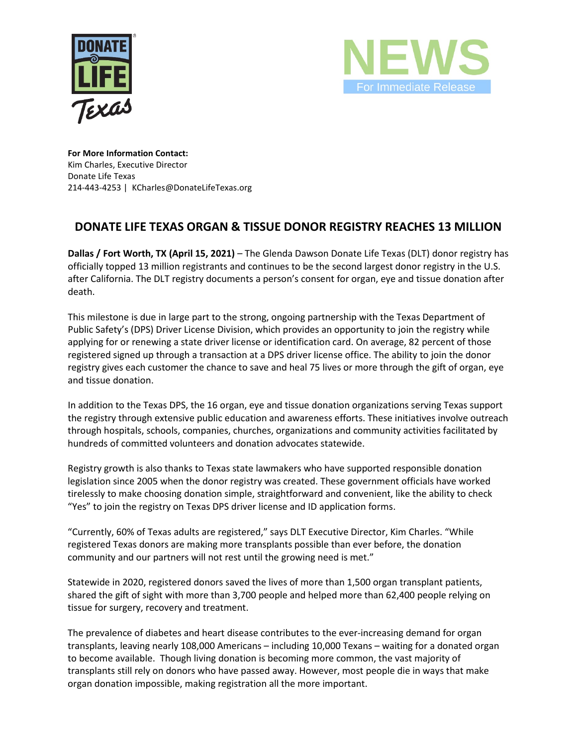



**For More Information Contact:** Kim Charles, Executive Director Donate Life Texas 214-443-4253 | KCharles@DonateLifeTexas.org

## **DONATE LIFE TEXAS ORGAN & TISSUE DONOR REGISTRY REACHES 13 MILLION**

**Dallas / Fort Worth, TX (April 15, 2021)** – The Glenda Dawson Donate Life Texas (DLT) donor registry has officially topped 13 million registrants and continues to be the second largest donor registry in the U.S. after California. The DLT registry documents a person's consent for organ, eye and tissue donation after death.

This milestone is due in large part to the strong, ongoing partnership with the Texas Department of Public Safety's (DPS) Driver License Division, which provides an opportunity to join the registry while applying for or renewing a state driver license or identification card. On average, 82 percent of those registered signed up through a transaction at a DPS driver license office. The ability to join the donor registry gives each customer the chance to save and heal 75 lives or more through the gift of organ, eye and tissue donation.

In addition to the Texas DPS, the 16 organ, eye and tissue donation organizations serving Texas support the registry through extensive public education and awareness efforts. These initiatives involve outreach through hospitals, schools, companies, churches, organizations and community activities facilitated by hundreds of committed volunteers and donation advocates statewide.

Registry growth is also thanks to Texas state lawmakers who have supported responsible donation legislation since 2005 when the donor registry was created. These government officials have worked tirelessly to make choosing donation simple, straightforward and convenient, like the ability to check "Yes" to join the registry on Texas DPS driver license and ID application forms.

"Currently, 60% of Texas adults are registered," says DLT Executive Director, Kim Charles. "While registered Texas donors are making more transplants possible than ever before, the donation community and our partners will not rest until the growing need is met."

Statewide in 2020, registered donors saved the lives of more than 1,500 organ transplant patients, shared the gift of sight with more than 3,700 people and helped more than 62,400 people relying on tissue for surgery, recovery and treatment.

The prevalence of diabetes and heart disease contributes to the ever-increasing demand for organ transplants, leaving nearly 108,000 Americans – including 10,000 Texans – waiting for a donated organ to become available. Though living donation is becoming more common, the vast majority of transplants still rely on donors who have passed away. However, most people die in ways that make organ donation impossible, making registration all the more important.